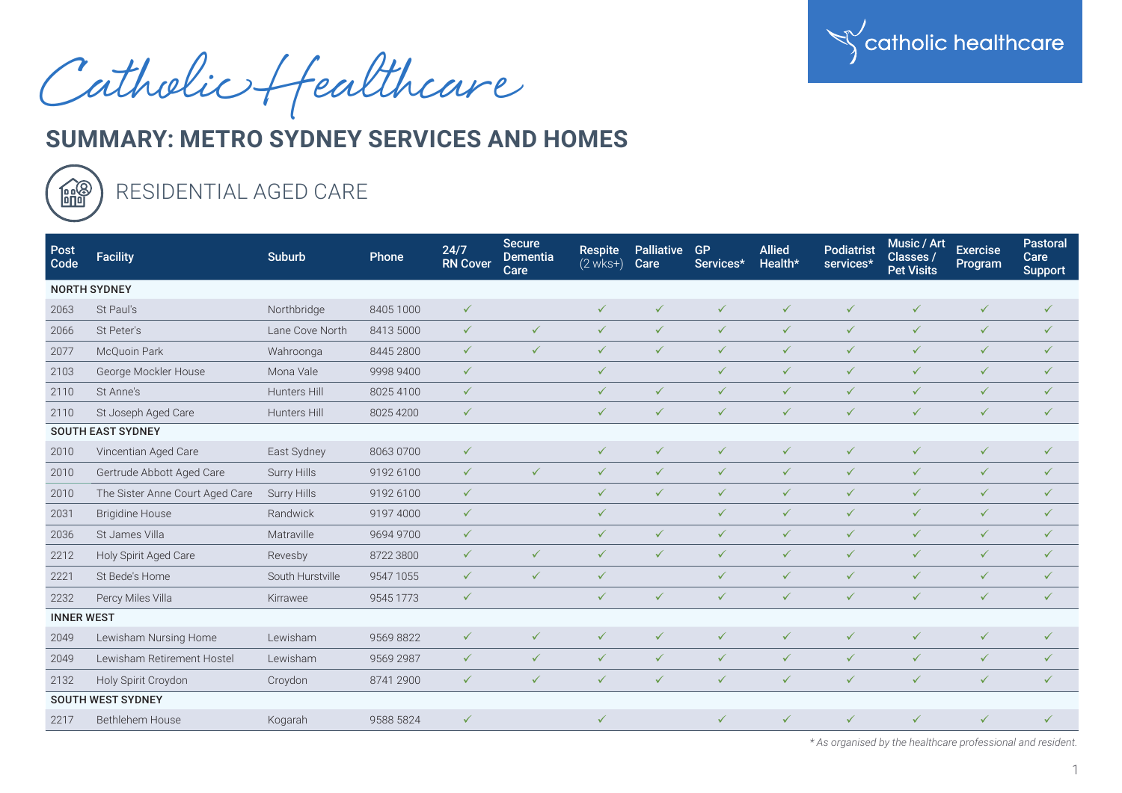

Catholic Healthcare

## **SUMMARY: METRO SYDNEY SERVICES AND HOMES**



## RESIDENTIAL AGED CARE

| Post<br>Code        | <b>Facility</b>                 | <b>Suburb</b>      | Phone     | 24/7<br><b>RN Cover</b> | <b>Secure</b><br><b>Dementia</b><br>Care | <b>Respite</b><br>$(2$ wks+ $)$ | <b>Palliative</b><br>Care | <b>GP</b><br>Services* | <b>Allied</b><br>Health* | <b>Podiatrist</b><br>services* | Music / Art<br>Classes /<br><b>Pet Visits</b> | <b>Exercise</b><br>Program | Pastoral<br>Care<br><b>Support</b> |
|---------------------|---------------------------------|--------------------|-----------|-------------------------|------------------------------------------|---------------------------------|---------------------------|------------------------|--------------------------|--------------------------------|-----------------------------------------------|----------------------------|------------------------------------|
| <b>NORTH SYDNEY</b> |                                 |                    |           |                         |                                          |                                 |                           |                        |                          |                                |                                               |                            |                                    |
| 2063                | St Paul's                       | Northbridge        | 8405 1000 | $\checkmark$            |                                          | $\checkmark$                    | $\checkmark$              | $\checkmark$           | $\checkmark$             | $\checkmark$                   | $\checkmark$                                  | $\checkmark$               | $\checkmark$                       |
| 2066                | St Peter's                      | Lane Cove North    | 8413 5000 | $\checkmark$            | $\checkmark$                             | $\checkmark$                    | $\checkmark$              | $\checkmark$           | $\checkmark$             | $\checkmark$                   | $\checkmark$                                  | $\checkmark$               | $\checkmark$                       |
| 2077                | McQuoin Park                    | Wahroonga          | 8445 2800 | $\checkmark$            | $\checkmark$                             | $\checkmark$                    | $\checkmark$              | $\checkmark$           | $\checkmark$             | $\checkmark$                   | $\checkmark$                                  | $\checkmark$               | $\checkmark$                       |
| 2103                | George Mockler House            | Mona Vale          | 9998 9400 | $\checkmark$            |                                          | $\checkmark$                    |                           | $\checkmark$           | $\checkmark$             | $\checkmark$                   | $\checkmark$                                  | $\checkmark$               | $\checkmark$                       |
| 2110                | St Anne's                       | Hunters Hill       | 80254100  | $\checkmark$            |                                          | $\checkmark$                    | $\checkmark$              | $\checkmark$           | $\checkmark$             | $\checkmark$                   | $\checkmark$                                  | $\checkmark$               | $\checkmark$                       |
| 2110                | St Joseph Aged Care             | Hunters Hill       | 8025 4200 | $\checkmark$            |                                          | $\checkmark$                    | $\checkmark$              | $\checkmark$           | $\checkmark$             | $\checkmark$                   | $\checkmark$                                  | $\checkmark$               | $\checkmark$                       |
|                     | <b>SOUTH EAST SYDNEY</b>        |                    |           |                         |                                          |                                 |                           |                        |                          |                                |                                               |                            |                                    |
| 2010                | Vincentian Aged Care            | East Sydney        | 8063 0700 | $\checkmark$            |                                          | $\checkmark$                    | $\checkmark$              | $\checkmark$           | $\checkmark$             | $\checkmark$                   | $\checkmark$                                  | $\checkmark$               | $\checkmark$                       |
| 2010                | Gertrude Abbott Aged Care       | Surry Hills        | 9192 6100 | $\checkmark$            | $\checkmark$                             | $\checkmark$                    | $\checkmark$              | $\checkmark$           | $\checkmark$             | $\checkmark$                   | $\checkmark$                                  | $\checkmark$               | $\checkmark$                       |
| 2010                | The Sister Anne Court Aged Care | <b>Surry Hills</b> | 9192 6100 | $\checkmark$            |                                          | $\checkmark$                    | $\checkmark$              | $\checkmark$           | $\checkmark$             | $\checkmark$                   | $\checkmark$                                  | $\checkmark$               | $\checkmark$                       |
| 2031                | <b>Brigidine House</b>          | Randwick           | 9197 4000 | $\checkmark$            |                                          | $\checkmark$                    |                           | $\checkmark$           | $\checkmark$             | $\checkmark$                   | $\checkmark$                                  | $\checkmark$               | $\checkmark$                       |
| 2036                | St James Villa                  | Matraville         | 9694 9700 | $\checkmark$            |                                          | $\checkmark$                    | $\checkmark$              | $\checkmark$           | $\checkmark$             | $\checkmark$                   | $\checkmark$                                  | $\checkmark$               | $\checkmark$                       |
| 2212                | Holy Spirit Aged Care           | Revesby            | 8722 3800 | $\checkmark$            | $\checkmark$                             | $\checkmark$                    | $\checkmark$              | $\checkmark$           | $\checkmark$             | $\checkmark$                   | $\checkmark$                                  | $\checkmark$               | $\checkmark$                       |
| 2221                | St Bede's Home                  | South Hurstville   | 9547 1055 | $\checkmark$            | $\checkmark$                             | $\checkmark$                    |                           | $\checkmark$           | $\checkmark$             | $\checkmark$                   | $\checkmark$                                  | $\checkmark$               | $\checkmark$                       |
| 2232                | Percy Miles Villa               | Kirrawee           | 9545 1773 | $\checkmark$            |                                          | $\checkmark$                    | $\checkmark$              | $\checkmark$           | $\checkmark$             | $\checkmark$                   | $\checkmark$                                  | $\checkmark$               | $\checkmark$                       |
| <b>INNER WEST</b>   |                                 |                    |           |                         |                                          |                                 |                           |                        |                          |                                |                                               |                            |                                    |
| 2049                | Lewisham Nursing Home           | Lewisham           | 95698822  | $\checkmark$            | $\checkmark$                             | $\checkmark$                    | $\checkmark$              | $\checkmark$           | $\checkmark$             | $\checkmark$                   | $\checkmark$                                  | $\checkmark$               | $\checkmark$                       |
| 2049                | Lewisham Retirement Hostel      | Lewisham           | 9569 2987 | $\checkmark$            | $\checkmark$                             | $\checkmark$                    | $\checkmark$              | $\checkmark$           | $\checkmark$             | $\checkmark$                   | $\checkmark$                                  | $\checkmark$               | $\checkmark$                       |
| 2132                | Holy Spirit Croydon             | Croydon            | 8741 2900 | $\checkmark$            | $\checkmark$                             | $\checkmark$                    | $\checkmark$              | $\checkmark$           | $\checkmark$             | $\checkmark$                   | $\checkmark$                                  | $\checkmark$               | $\checkmark$                       |
|                     | <b>SOUTH WEST SYDNEY</b>        |                    |           |                         |                                          |                                 |                           |                        |                          |                                |                                               |                            |                                    |
| 2217                | <b>Bethlehem House</b>          | Kogarah            | 9588 5824 | $\checkmark$            |                                          | $\checkmark$                    |                           | $\checkmark$           | $\checkmark$             | $\checkmark$                   | $\checkmark$                                  | $\checkmark$               | $\checkmark$                       |

 *\* As organised by the healthcare professional and resident.*